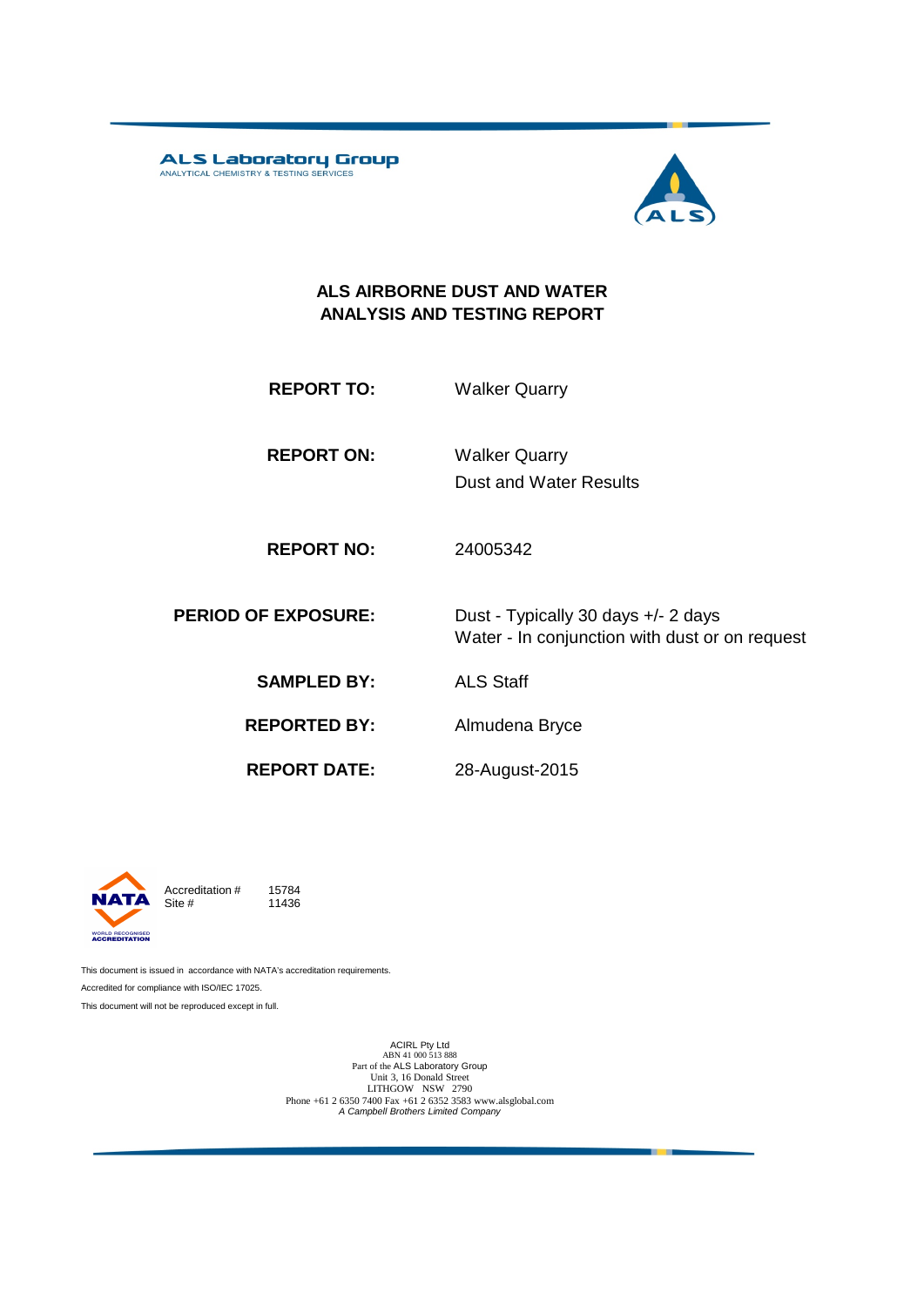ALS Laboratory Group



m

### **ALS AIRBORNE DUST AND WATER ANALYSIS AND TESTING REPORT**

| <b>REPORT TO:</b>   | <b>Walker Quarry</b>                                                                  |
|---------------------|---------------------------------------------------------------------------------------|
| <b>REPORT ON:</b>   | <b>Walker Quarry</b><br>Dust and Water Results                                        |
| <b>REPORT NO:</b>   | 24005342                                                                              |
| <b>OF EXPOSURE:</b> | Dust - Typically 30 days +/- 2 days<br>Water - In conjunction with dust or on request |

**PERIOD 0** 

**SAMPLED BY:** ALS Staff

**REPORTED BY:** Almudena Bryce

**REPORT DATE:**

28-August-2015



Accreditation  $\#$  15784<br>Site  $\#$  11436 11436

This document is issued in accordance with NATA's accreditation requirements. Accredited for compliance with ISO/IEC 17025. This document will not be reproduced except in full.

ACIRL Pty Ltd<br>
ABN 41 000 513 888<br>
Part of the ALS Laboratory Group<br>
Unit 3, 16 Donald Street<br>
LITHGOW NSW 2790<br>
Phone +61 2 6350 7400 Fax +61 2 6352 3583 www.alsglobal.com<br> *A Campbell Brothers Limited Company*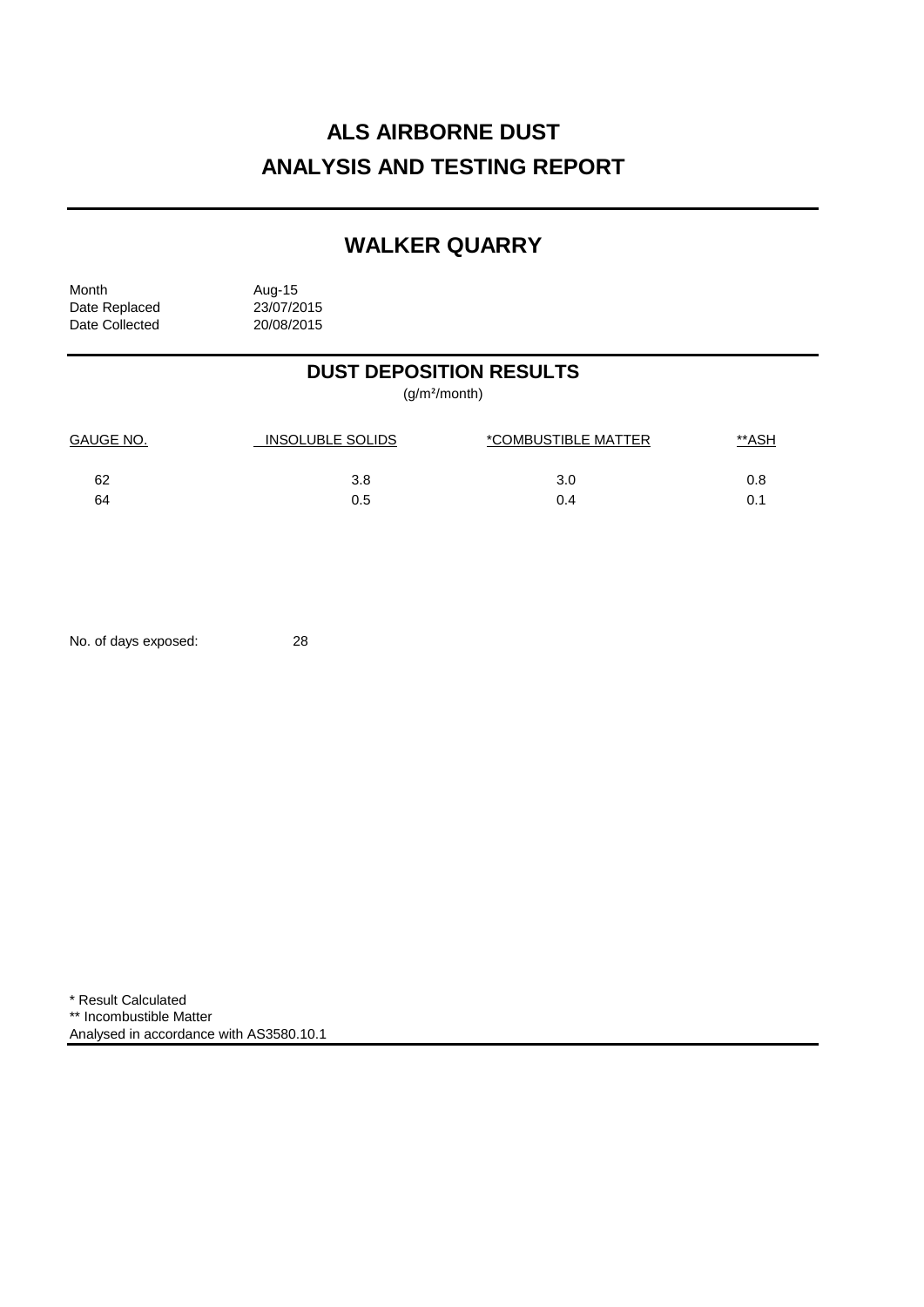# **ALS AIRBORNE DUST ANALYSIS AND TESTING REPORT**

## **WALKER QUARRY**

Month Aug-15<br>Date Replaced 23/07/2015 Date Replaced 23/07/2015<br>Date Collected 20/08/2015 Date Collected

## **DUST DEPOSITION RESULTS**

(g/m²/month)

| GAUGE NO. | INSOLUBLE SOLIDS | *COMBUSTIBLE MATTER | <u>**ASH</u> |
|-----------|------------------|---------------------|--------------|
| 62        | 3.8              | 3.0                 | 0.8          |
| 64        | 0.5              | 0.4                 | 0.1          |

No. of days exposed: 28

\* Result Calculated \*\* Incombustible Matter Analysed in accordance with AS3580.10.1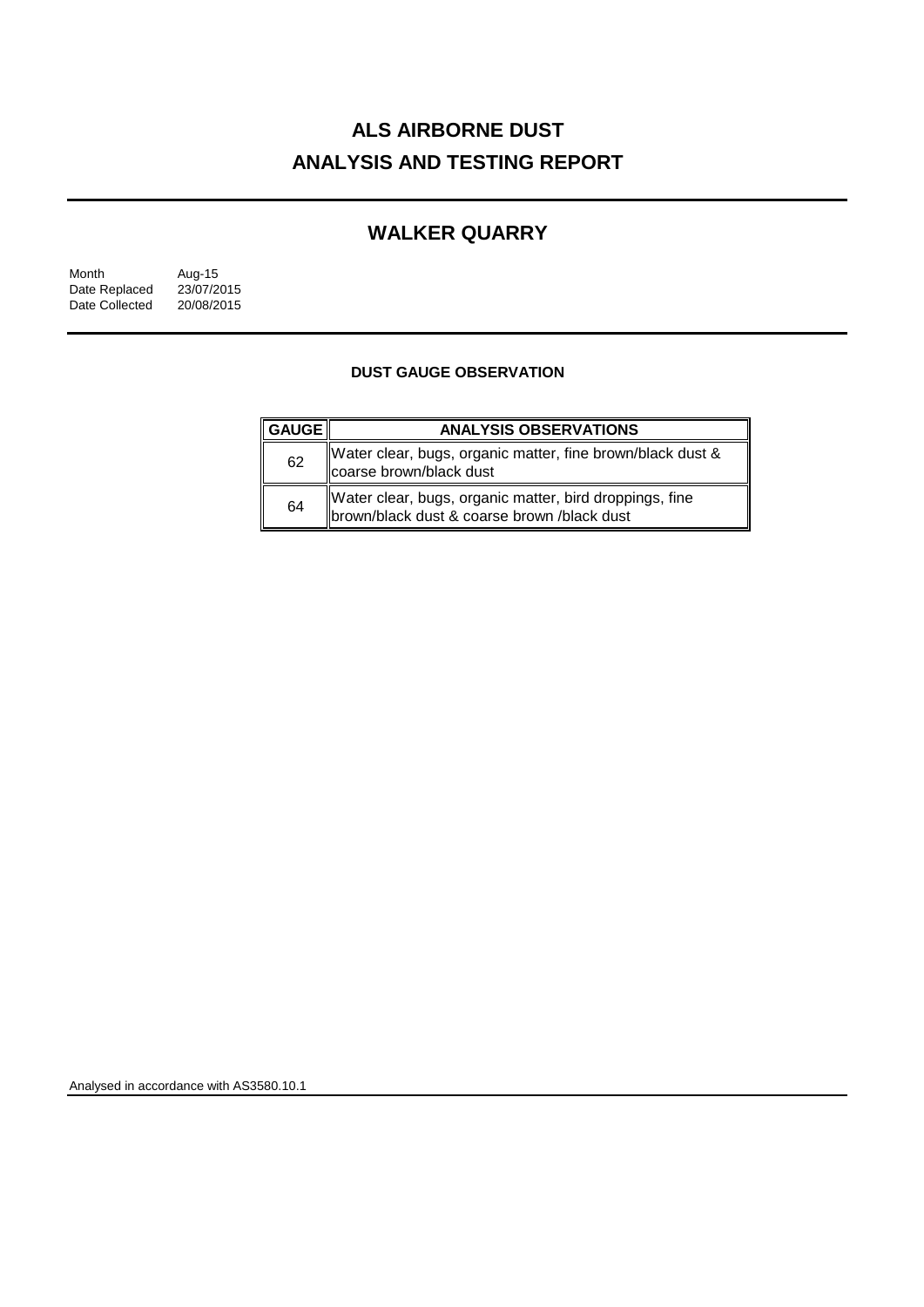# **ALS AIRBORNE DUST ANALYSIS AND TESTING REPORT**

## **WALKER QUARRY**

| Month          | Aug-15     |
|----------------|------------|
| Date Replaced  | 23/07/2015 |
| Date Collected | 20/08/2015 |

#### **DUST GAUGE OBSERVATION**

| <b>GAUGE</b> | <b>ANALYSIS OBSERVATIONS</b>                                                                            |  |  |
|--------------|---------------------------------------------------------------------------------------------------------|--|--|
| 62           | Water clear, bugs, organic matter, fine brown/black dust &<br>coarse brown/black dust                   |  |  |
| 64           | Water clear, bugs, organic matter, bird droppings, fine<br> brown/black dust & coarse brown /black dust |  |  |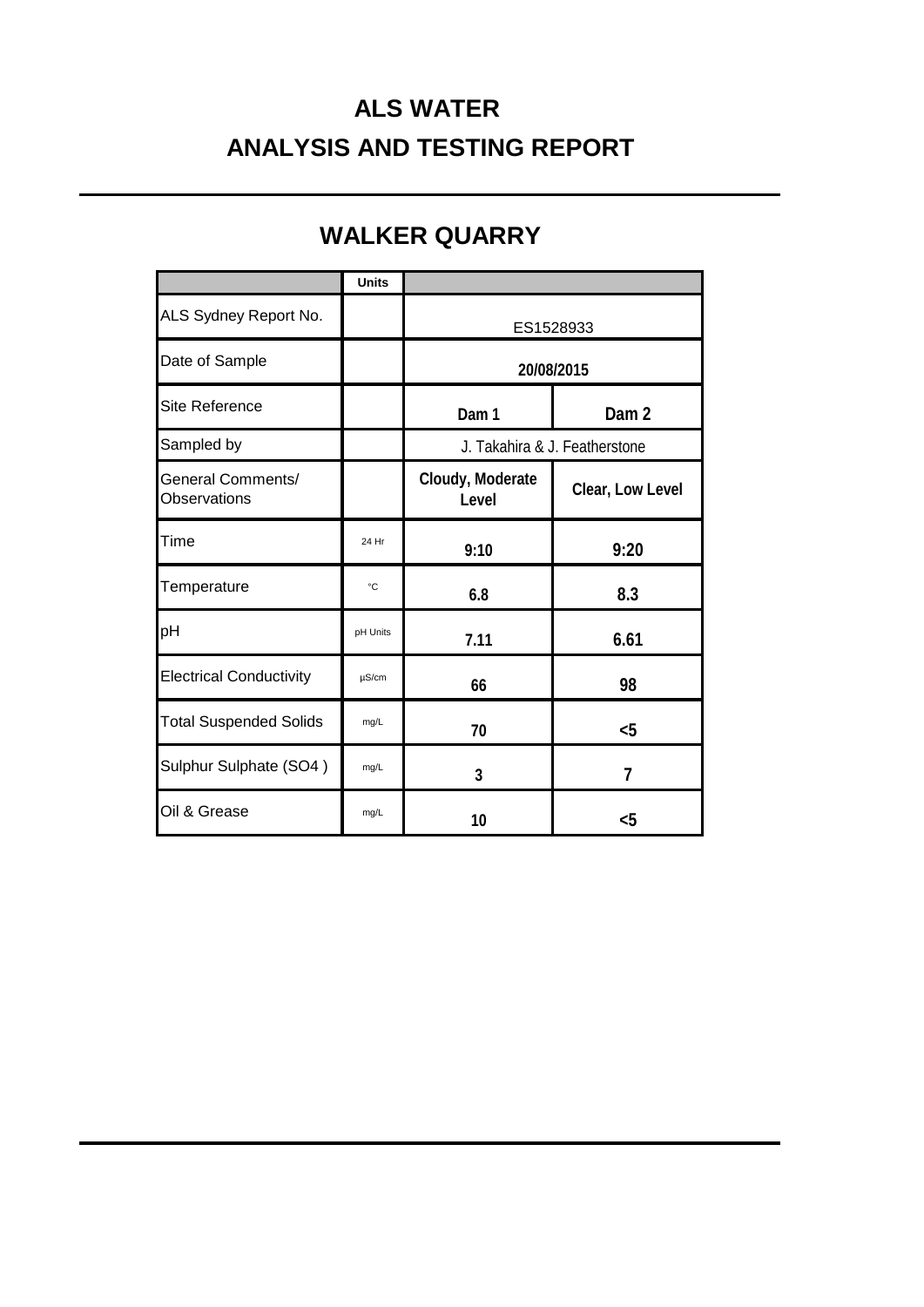# **ALS WATER ANALYSIS AND TESTING REPORT**

|                                                 | <b>Units</b> |                               |                  |  |
|-------------------------------------------------|--------------|-------------------------------|------------------|--|
| ALS Sydney Report No.                           |              | ES1528933                     |                  |  |
| Date of Sample                                  |              | 20/08/2015                    |                  |  |
| <b>Site Reference</b>                           |              | Dam 1                         | Dam <sub>2</sub> |  |
| Sampled by                                      |              | J. Takahira & J. Featherstone |                  |  |
| <b>General Comments/</b><br><b>Observations</b> |              | Cloudy, Moderate<br>Level     | Clear, Low Level |  |
| Time                                            | 24 Hr        | 9:10                          | 9:20             |  |
| Temperature                                     | °C           | 6.8                           | 8.3              |  |
| pH                                              | pH Units     | 7.11                          | 6.61             |  |
| <b>Electrical Conductivity</b>                  | $\mu$ S/cm   | 66                            | 98               |  |
| <b>Total Suspended Solids</b>                   | mg/L         | 70                            | $5$              |  |
| Sulphur Sulphate (SO4)                          | mg/L         | 3                             | 7                |  |
| Oil & Grease                                    | mg/L         | 10                            | $<$ 5            |  |

# **WALKER QUARRY**